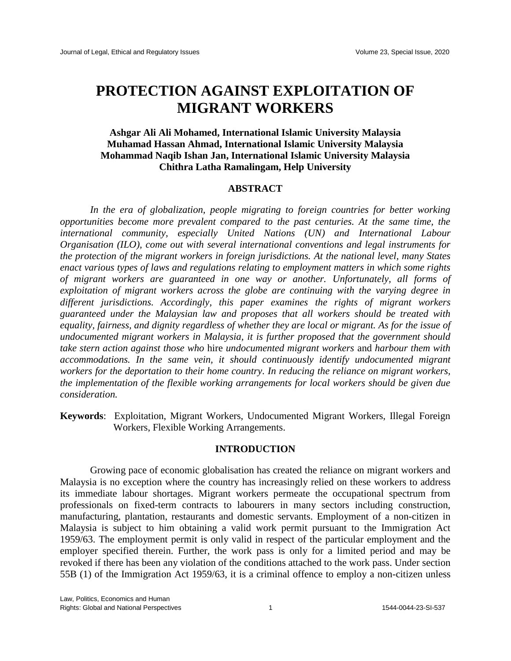## **PROTECTION AGAINST EXPLOITATION OF MIGRANT WORKERS**

## **Ashgar Ali Ali Mohamed, International Islamic University Malaysia Muhamad Hassan Ahmad, International Islamic University Malaysia Mohammad Naqib Ishan Jan, International Islamic University Malaysia Chithra Latha Ramalingam, Help University**

## **ABSTRACT**

In the era of globalization, people migrating to foreign countries for better working *opportunities become more prevalent compared to the past centuries. At the same time, the international community, especially United Nations (UN) and International Labour Organisation (ILO), come out with several international conventions and legal instruments for the protection of the migrant workers in foreign jurisdictions. At the national level, many States enact various types of laws and regulations relating to employment matters in which some rights of migrant workers are guaranteed in one way or another. Unfortunately, all forms of exploitation of migrant workers across the globe are continuing with the varying degree in different jurisdictions. Accordingly, this paper examines the rights of migrant workers guaranteed under the Malaysian law and proposes that all workers should be treated with equality, fairness, and dignity regardless of whether they are local or migrant. As for the issue of undocumented migrant workers in Malaysia, it is further proposed that the government should take stern action against those who* hire *undocumented migrant workers* and *harbour them with accommodations. In the same vein, it should continuously identify undocumented migrant workers for the deportation to their home country. In reducing the reliance on migrant workers, the implementation of the flexible working arrangements for local workers should be given due consideration.*

**Keywords**: Exploitation, Migrant Workers, Undocumented Migrant Workers, Illegal Foreign Workers, Flexible Working Arrangements.

## **INTRODUCTION**

Growing pace of economic globalisation has created the reliance on migrant workers and Malaysia is no exception where the country has increasingly relied on these workers to address its immediate labour shortages. Migrant workers permeate the occupational spectrum from professionals on fixed-term contracts to labourers in many sectors including construction, manufacturing, plantation, restaurants and domestic servants. Employment of a non-citizen in Malaysia is subject to him obtaining a valid work permit pursuant to the Immigration Act 1959/63. The employment permit is only valid in respect of the particular employment and the employer specified therein. Further, the work pass is only for a limited period and may be revoked if there has been any violation of the conditions attached to the work pass. Under section 55B (1) of the Immigration Act 1959/63, it is a criminal offence to employ a non-citizen unless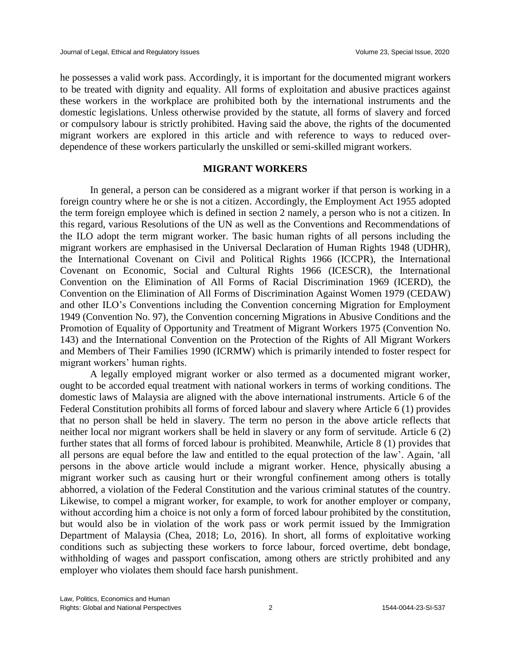he possesses a valid work pass. Accordingly, it is important for the documented migrant workers to be treated with dignity and equality. All forms of exploitation and abusive practices against these workers in the workplace are prohibited both by the international instruments and the domestic legislations. Unless otherwise provided by the statute, all forms of slavery and forced or compulsory labour is strictly prohibited. Having said the above, the rights of the documented migrant workers are explored in this article and with reference to ways to reduced overdependence of these workers particularly the unskilled or semi-skilled migrant workers.

#### **MIGRANT WORKERS**

In general, a person can be considered as a migrant worker if that person is working in a foreign country where he or she is not a citizen. Accordingly, the Employment Act 1955 adopted the term foreign employee which is defined in section 2 namely, a person who is not a citizen. In this regard, various Resolutions of the UN as well as the Conventions and Recommendations of the ILO adopt the term migrant worker. The basic human rights of all persons including the migrant workers are emphasised in the Universal Declaration of Human Rights 1948 (UDHR), the International Covenant on Civil and Political Rights 1966 (ICCPR), the International Covenant on Economic, Social and Cultural Rights 1966 (ICESCR), the International Convention on the Elimination of All Forms of Racial Discrimination 1969 (ICERD), the Convention on the Elimination of All Forms of Discrimination Against Women 1979 (CEDAW) and other ILO's Conventions including the Convention concerning Migration for Employment 1949 (Convention No. 97), the Convention concerning Migrations in Abusive Conditions and the Promotion of Equality of Opportunity and Treatment of Migrant Workers 1975 (Convention No. 143) and the International Convention on the Protection of the Rights of All Migrant Workers and Members of Their Families 1990 (ICRMW) which is primarily intended to foster respect for migrant workers' human rights.

A legally employed migrant worker or also termed as a documented migrant worker, ought to be accorded equal treatment with national workers in terms of working conditions. The domestic laws of Malaysia are aligned with the above international instruments. Article 6 of the Federal Constitution prohibits all forms of forced labour and slavery where Article 6 (1) provides that no person shall be held in slavery. The term no person in the above article reflects that neither local nor migrant workers shall be held in slavery or any form of servitude. Article 6 (2) further states that all forms of forced labour is prohibited. Meanwhile, Article 8 (1) provides that all persons are equal before the law and entitled to the equal protection of the law'. Again, 'all persons in the above article would include a migrant worker. Hence, physically abusing a migrant worker such as causing hurt or their wrongful confinement among others is totally abhorred, a violation of the Federal Constitution and the various criminal statutes of the country. Likewise, to compel a migrant worker, for example, to work for another employer or company, without according him a choice is not only a form of forced labour prohibited by the constitution, but would also be in violation of the work pass or work permit issued by the Immigration Department of Malaysia (Chea, 2018; Lo, 2016). In short, all forms of exploitative working conditions such as subjecting these workers to force labour, forced overtime, debt bondage, withholding of wages and passport confiscation, among others are strictly prohibited and any employer who violates them should face harsh punishment.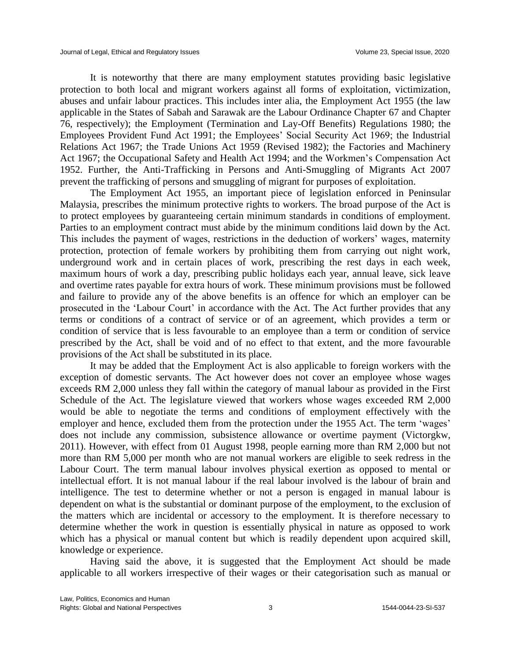It is noteworthy that there are many employment statutes providing basic legislative protection to both local and migrant workers against all forms of exploitation, victimization, abuses and unfair labour practices. This includes inter alia, the Employment Act 1955 (the law applicable in the States of Sabah and Sarawak are the Labour Ordinance Chapter 67 and Chapter 76, respectively); the Employment (Termination and Lay-Off Benefits) Regulations 1980; the Employees Provident Fund Act 1991; the Employees' Social Security Act 1969; the Industrial Relations Act 1967; the Trade Unions Act 1959 (Revised 1982); the Factories and Machinery Act 1967; the Occupational Safety and Health Act 1994; and the Workmen's Compensation Act 1952. Further, the Anti-Trafficking in Persons and Anti-Smuggling of Migrants Act 2007 prevent the trafficking of persons and smuggling of migrant for purposes of exploitation.

The Employment Act 1955, an important piece of legislation enforced in Peninsular Malaysia, prescribes the minimum protective rights to workers. The broad purpose of the Act is to protect employees by guaranteeing certain minimum standards in conditions of employment. Parties to an employment contract must abide by the minimum conditions laid down by the Act. This includes the payment of wages, restrictions in the deduction of workers' wages, maternity protection, protection of female workers by prohibiting them from carrying out night work, underground work and in certain places of work, prescribing the rest days in each week, maximum hours of work a day, prescribing public holidays each year, annual leave, sick leave and overtime rates payable for extra hours of work. These minimum provisions must be followed and failure to provide any of the above benefits is an offence for which an employer can be prosecuted in the 'Labour Court' in accordance with the Act. The Act further provides that any terms or conditions of a contract of service or of an agreement, which provides a term or condition of service that is less favourable to an employee than a term or condition of service prescribed by the Act, shall be void and of no effect to that extent, and the more favourable provisions of the Act shall be substituted in its place.

It may be added that the Employment Act is also applicable to foreign workers with the exception of domestic servants. The Act however does not cover an employee whose wages exceeds RM 2,000 unless they fall within the category of manual labour as provided in the First Schedule of the Act. The legislature viewed that workers whose wages exceeded RM 2,000 would be able to negotiate the terms and conditions of employment effectively with the employer and hence, excluded them from the protection under the 1955 Act. The term 'wages' does not include any commission, subsistence allowance or overtime payment (Victorgkw, 2011). However, with effect from 01 August 1998, people earning more than RM 2,000 but not more than RM 5,000 per month who are not manual workers are eligible to seek redress in the Labour Court. The term manual labour involves physical exertion as opposed to mental or intellectual effort. It is not manual labour if the real labour involved is the labour of brain and intelligence. The test to determine whether or not a person is engaged in manual labour is dependent on what is the substantial or dominant purpose of the employment, to the exclusion of the matters which are incidental or accessory to the employment. It is therefore necessary to determine whether the work in question is essentially physical in nature as opposed to work which has a physical or manual content but which is readily dependent upon acquired skill, knowledge or experience.

Having said the above, it is suggested that the Employment Act should be made applicable to all workers irrespective of their wages or their categorisation such as manual or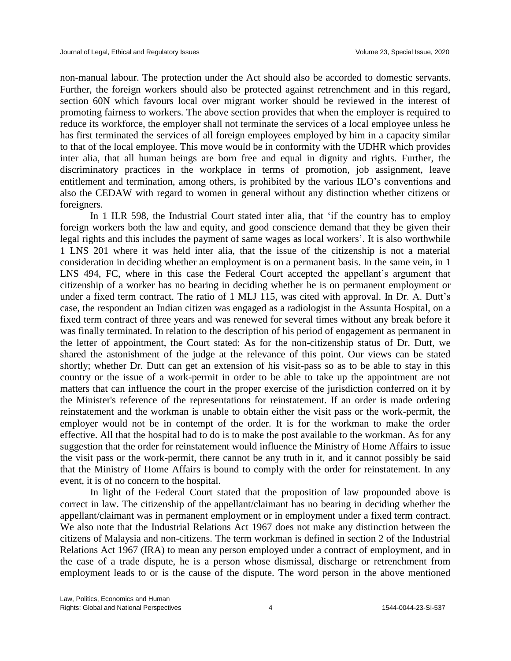non-manual labour. The protection under the Act should also be accorded to domestic servants. Further, the foreign workers should also be protected against retrenchment and in this regard, section 60N which favours local over migrant worker should be reviewed in the interest of promoting fairness to workers. The above section provides that when the employer is required to reduce its workforce, the employer shall not terminate the services of a local employee unless he has first terminated the services of all foreign employees employed by him in a capacity similar to that of the local employee. This move would be in conformity with the UDHR which provides inter alia, that all human beings are born free and equal in dignity and rights. Further, the discriminatory practices in the workplace in terms of promotion, job assignment, leave entitlement and termination, among others, is prohibited by the various ILO's conventions and also the CEDAW with regard to women in general without any distinction whether citizens or foreigners.

In 1 ILR 598, the Industrial Court stated inter alia, that 'if the country has to employ foreign workers both the law and equity, and good conscience demand that they be given their legal rights and this includes the payment of same wages as local workers'. It is also worthwhile 1 LNS 201 where it was held inter alia, that the issue of the citizenship is not a material consideration in deciding whether an employment is on a permanent basis. In the same vein, in 1 LNS 494, FC, where in this case the Federal Court accepted the appellant's argument that citizenship of a worker has no bearing in deciding whether he is on permanent employment or under a fixed term contract. The ratio of 1 MLJ 115, was cited with approval. In Dr. A. Dutt's case, the respondent an Indian citizen was engaged as a radiologist in the Assunta Hospital, on a fixed term contract of three years and was renewed for several times without any break before it was finally terminated. In relation to the description of his period of engagement as permanent in the letter of appointment, the Court stated: As for the non-citizenship status of Dr. Dutt, we shared the astonishment of the judge at the relevance of this point. Our views can be stated shortly; whether Dr. Dutt can get an extension of his visit-pass so as to be able to stay in this country or the issue of a work-permit in order to be able to take up the appointment are not matters that can influence the court in the proper exercise of the jurisdiction conferred on it by the Minister's reference of the representations for reinstatement. If an order is made ordering reinstatement and the workman is unable to obtain either the visit pass or the work-permit, the employer would not be in contempt of the order. It is for the workman to make the order effective. All that the hospital had to do is to make the post available to the workman. As for any suggestion that the order for reinstatement would influence the Ministry of Home Affairs to issue the visit pass or the work-permit, there cannot be any truth in it, and it cannot possibly be said that the Ministry of Home Affairs is bound to comply with the order for reinstatement. In any event, it is of no concern to the hospital.

In light of the Federal Court stated that the proposition of law propounded above is correct in law. The citizenship of the appellant/claimant has no bearing in deciding whether the appellant/claimant was in permanent employment or in employment under a fixed term contract. We also note that the Industrial Relations Act 1967 does not make any distinction between the citizens of Malaysia and non-citizens. The term workman is defined in section 2 of the Industrial Relations Act 1967 (IRA) to mean any person employed under a contract of employment, and in the case of a trade dispute, he is a person whose dismissal, discharge or retrenchment from employment leads to or is the cause of the dispute. The word person in the above mentioned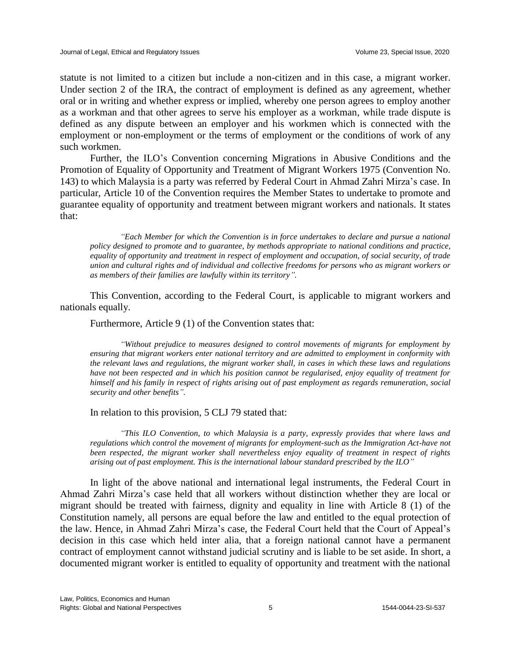statute is not limited to a citizen but include a non-citizen and in this case, a migrant worker. Under section 2 of the IRA, the contract of employment is defined as any agreement, whether oral or in writing and whether express or implied, whereby one person agrees to employ another as a workman and that other agrees to serve his employer as a workman, while trade dispute is defined as any dispute between an employer and his workmen which is connected with the employment or non-employment or the terms of employment or the conditions of work of any such workmen.

Further, the ILO's Convention concerning Migrations in Abusive Conditions and the Promotion of Equality of Opportunity and Treatment of Migrant Workers 1975 (Convention No. 143) to which Malaysia is a party was referred by Federal Court in Ahmad Zahri Mirza's case. In particular, Article 10 of the Convention requires the Member States to undertake to promote and guarantee equality of opportunity and treatment between migrant workers and nationals. It states that:

*"Each Member for which the Convention is in force undertakes to declare and pursue a national policy designed to promote and to guarantee, by methods appropriate to national conditions and practice, equality of opportunity and treatment in respect of employment and occupation, of social security, of trade union and cultural rights and of individual and collective freedoms for persons who as migrant workers or as members of their families are lawfully within its territory".*

This Convention, according to the Federal Court, is applicable to migrant workers and nationals equally.

Furthermore, Article 9 (1) of the Convention states that:

*"Without prejudice to measures designed to control movements of migrants for employment by ensuring that migrant workers enter national territory and are admitted to employment in conformity with the relevant laws and regulations, the migrant worker shall, in cases in which these laws and regulations have not been respected and in which his position cannot be regularised, enjoy equality of treatment for himself and his family in respect of rights arising out of past employment as regards remuneration, social security and other benefits".*

In relation to this provision, 5 CLJ 79 stated that:

*"This ILO Convention, to which Malaysia is a party, expressly provides that where laws and regulations which control the movement of migrants for employment-such as the Immigration Act-have not been respected, the migrant worker shall nevertheless enjoy equality of treatment in respect of rights arising out of past employment. This is the international labour standard prescribed by the ILO"*

In light of the above national and international legal instruments, the Federal Court in Ahmad Zahri Mirza's case held that all workers without distinction whether they are local or migrant should be treated with fairness, dignity and equality in line with Article 8 (1) of the Constitution namely, all persons are equal before the law and entitled to the equal protection of the law. Hence, in Ahmad Zahri Mirza's case, the Federal Court held that the Court of Appeal's decision in this case which held inter alia, that a foreign national cannot have a permanent contract of employment cannot withstand judicial scrutiny and is liable to be set aside. In short, a documented migrant worker is entitled to equality of opportunity and treatment with the national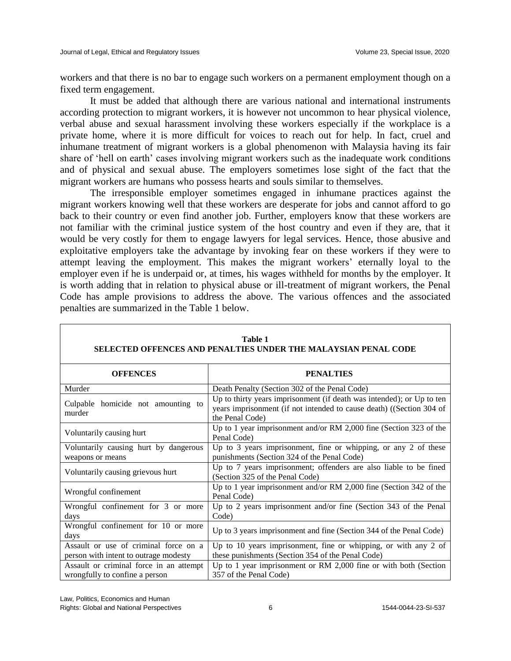workers and that there is no bar to engage such workers on a permanent employment though on a fixed term engagement.

It must be added that although there are various national and international instruments according protection to migrant workers, it is however not uncommon to hear physical violence, verbal abuse and sexual harassment involving these workers especially if the workplace is a private home, where it is more difficult for voices to reach out for help. In fact, cruel and inhumane treatment of migrant workers is a global phenomenon with Malaysia having its fair share of 'hell on earth' cases involving migrant workers such as the inadequate work conditions and of physical and sexual abuse. The employers sometimes lose sight of the fact that the migrant workers are humans who possess hearts and souls similar to themselves.

The irresponsible employer sometimes engaged in inhumane practices against the migrant workers knowing well that these workers are desperate for jobs and cannot afford to go back to their country or even find another job. Further, employers know that these workers are not familiar with the criminal justice system of the host country and even if they are, that it would be very costly for them to engage lawyers for legal services. Hence, those abusive and exploitative employers take the advantage by invoking fear on these workers if they were to attempt leaving the employment. This makes the migrant workers' eternally loyal to the employer even if he is underpaid or, at times, his wages withheld for months by the employer. It is worth adding that in relation to physical abuse or ill-treatment of migrant workers, the Penal Code has ample provisions to address the above. The various offences and the associated penalties are summarized in the Table 1 below.

| SELECTED OFFENCES AND PENALTIES UNDER THE MALAYSIAN PENAL CODE                 |                                                                                                                                                                  |
|--------------------------------------------------------------------------------|------------------------------------------------------------------------------------------------------------------------------------------------------------------|
| <b>OFFENCES</b>                                                                | <b>PENALTIES</b>                                                                                                                                                 |
| Murder                                                                         | Death Penalty (Section 302 of the Penal Code)                                                                                                                    |
| Culpable homicide not amounting to<br>murder                                   | Up to thirty years imprisonment (if death was intended); or Up to ten<br>years imprisonment (if not intended to cause death) ((Section 304 of<br>the Penal Code) |
| Voluntarily causing hurt                                                       | Up to 1 year imprisonment and/or RM 2,000 fine (Section 323 of the<br>Penal Code)                                                                                |
| Voluntarily causing hurt by dangerous<br>weapons or means                      | Up to 3 years imprisonment, fine or whipping, or any $2$ of these<br>punishments (Section 324 of the Penal Code)                                                 |
| Voluntarily causing grievous hurt                                              | Up to 7 years imprisonment; offenders are also liable to be fined<br>(Section 325 of the Penal Code)                                                             |
| Wrongful confinement                                                           | Up to 1 year imprisonment and/or RM $2,000$ fine (Section 342 of the<br>Penal Code)                                                                              |
| Wrongful confinement for 3 or more<br>days                                     | Up to 2 years imprisonment and/or fine (Section 343 of the Penal<br>Code)                                                                                        |
| Wrongful confinement for 10 or more<br>days                                    | Up to 3 years imprisonment and fine (Section 344 of the Penal Code)                                                                                              |
| Assault or use of criminal force on a<br>person with intent to outrage modesty | Up to 10 years imprisonment, fine or whipping, or with any 2 of<br>these punishments (Section 354 of the Penal Code)                                             |
| Assault or criminal force in an attempt<br>wrongfully to confine a person      | Up to 1 year imprisonment or RM $2,000$ fine or with both (Section<br>357 of the Penal Code)                                                                     |

| Table 1                                                        |  |
|----------------------------------------------------------------|--|
| SELECTED OFFENCES AND PENALTIES UNDER THE MALAYSIAN PENAL CODE |  |

Law, Politics, Economics and Human Rights: Global and National Perspectives 6 1544-0044-23-SI-537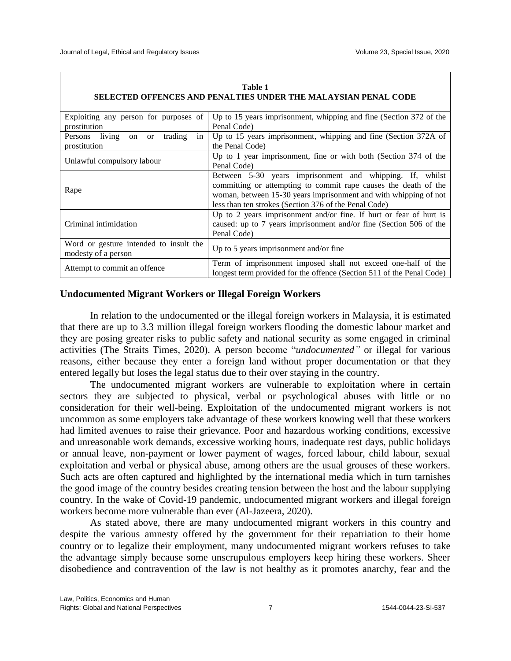| SELECTED OFFENCES AND PENALTIES UNDER THE MALAYSIAN PENAL CODE         |                                                                                                                                                                                                                                                          |
|------------------------------------------------------------------------|----------------------------------------------------------------------------------------------------------------------------------------------------------------------------------------------------------------------------------------------------------|
| Exploiting any person for purposes of<br>prostitution                  | Up to 15 years imprisonment, whipping and fine (Section 372 of the<br>Penal Code)                                                                                                                                                                        |
| Persons living<br>trading<br>in<br><sub>or</sub><br>on<br>prostitution | Up to 15 years imprisonment, whipping and fine (Section 372A of<br>the Penal Code)                                                                                                                                                                       |
| Unlawful compulsory labour                                             | Up to 1 year imprisonment, fine or with both (Section 374 of the<br>Penal Code)                                                                                                                                                                          |
| Rape                                                                   | Between 5-30 years imprisonment and whipping. If, whilst<br>committing or attempting to commit rape causes the death of the<br>woman, between 15-30 years imprisonment and with whipping of not<br>less than ten strokes (Section 376 of the Penal Code) |
| Criminal intimidation                                                  | Up to 2 years imprisonment and/or fine. If hurt or fear of hurt is<br>caused: up to 7 years imprisonment and/or fine (Section 506 of the<br>Penal Code)                                                                                                  |
| Word or gesture intended to insult the<br>modesty of a person          | Up to 5 years imprisonment and/or fine                                                                                                                                                                                                                   |
| Attempt to commit an offence                                           | Term of imprisonment imposed shall not exceed one-half of the<br>longest term provided for the offence (Section 511 of the Penal Code)                                                                                                                   |

# **Table 1**

## **Undocumented Migrant Workers or Illegal Foreign Workers**

In relation to the undocumented or the illegal foreign workers in Malaysia, it is estimated that there are up to 3.3 million illegal foreign workers flooding the domestic labour market and they are posing greater risks to public safety and national security as some engaged in criminal activities (The Straits Times, 2020). A person become "*undocumented"* or illegal for various reasons, either because they enter a foreign land without proper documentation or that they entered legally but loses the legal status due to their over staying in the country.

The undocumented migrant workers are vulnerable to exploitation where in certain sectors they are subjected to physical, verbal or psychological abuses with little or no consideration for their well-being. Exploitation of the undocumented migrant workers is not uncommon as some employers take advantage of these workers knowing well that these workers had limited avenues to raise their grievance. Poor and hazardous working conditions, excessive and unreasonable work demands, excessive working hours, inadequate rest days, public holidays or annual leave, non-payment or lower payment of wages, forced labour, child labour, sexual exploitation and verbal or physical abuse, among others are the usual grouses of these workers. Such acts are often captured and highlighted by the international media which in turn tarnishes the good image of the country besides creating tension between the host and the labour supplying country. In the wake of Covid-19 pandemic, undocumented migrant workers and illegal foreign workers become more vulnerable than ever (Al-Jazeera, 2020).

As stated above, there are many undocumented migrant workers in this country and despite the various amnesty offered by the government for their repatriation to their home country or to legalize their employment, many undocumented migrant workers refuses to take the advantage simply because some unscrupulous employers keep hiring these workers. Sheer disobedience and contravention of the law is not healthy as it promotes anarchy, fear and the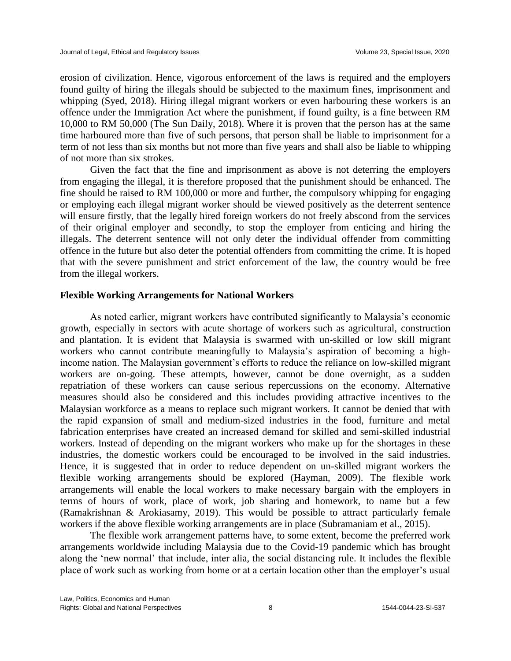erosion of civilization. Hence, vigorous enforcement of the laws is required and the employers found guilty of hiring the illegals should be subjected to the maximum fines, imprisonment and whipping (Syed, 2018). Hiring illegal migrant workers or even harbouring these workers is an offence under the Immigration Act where the punishment, if found guilty, is a fine between RM 10,000 to RM 50,000 (The Sun Daily, 2018). Where it is proven that the person has at the same time harboured more than five of such persons, that person shall be liable to imprisonment for a term of not less than six months but not more than five years and shall also be liable to whipping of not more than six strokes.

Given the fact that the fine and imprisonment as above is not deterring the employers from engaging the illegal, it is therefore proposed that the punishment should be enhanced. The fine should be raised to RM 100,000 or more and further, the compulsory whipping for engaging or employing each illegal migrant worker should be viewed positively as the deterrent sentence will ensure firstly, that the legally hired foreign workers do not freely abscond from the services of their original employer and secondly, to stop the employer from enticing and hiring the illegals. The deterrent sentence will not only deter the individual offender from committing offence in the future but also deter the potential offenders from committing the crime. It is hoped that with the severe punishment and strict enforcement of the law, the country would be free from the illegal workers.

### **Flexible Working Arrangements for National Workers**

As noted earlier, migrant workers have contributed significantly to Malaysia's economic growth, especially in sectors with acute shortage of workers such as agricultural, construction and plantation. It is evident that Malaysia is swarmed with un-skilled or low skill migrant workers who cannot contribute meaningfully to Malaysia's aspiration of becoming a highincome nation. The Malaysian government's efforts to reduce the reliance on low-skilled migrant workers are on-going. These attempts, however, cannot be done overnight, as a sudden repatriation of these workers can cause serious repercussions on the economy. Alternative measures should also be considered and this includes providing attractive incentives to the Malaysian workforce as a means to replace such migrant workers. It cannot be denied that with the rapid expansion of small and medium-sized industries in the food, furniture and metal fabrication enterprises have created an increased demand for skilled and semi-skilled industrial workers. Instead of depending on the migrant workers who make up for the shortages in these industries, the domestic workers could be encouraged to be involved in the said industries. Hence, it is suggested that in order to reduce dependent on un-skilled migrant workers the flexible working arrangements should be explored (Hayman, 2009). The flexible work arrangements will enable the local workers to make necessary bargain with the employers in terms of hours of work, place of work, job sharing and homework, to name but a few (Ramakrishnan & Arokiasamy, 2019). This would be possible to attract particularly female workers if the above flexible working arrangements are in place (Subramaniam et al., 2015).

The flexible work arrangement patterns have, to some extent, become the preferred work arrangements worldwide including Malaysia due to the Covid-19 pandemic which has brought along the 'new normal' that include, inter alia, the social distancing rule. It includes the flexible place of work such as working from home or at a certain location other than the employer's usual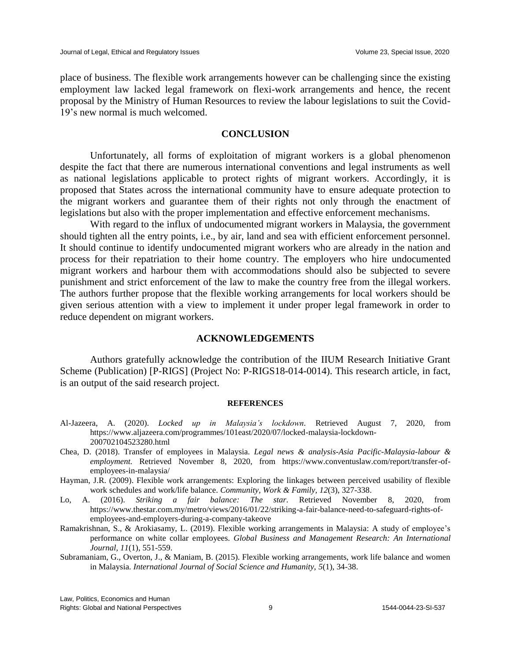place of business. The flexible work arrangements however can be challenging since the existing employment law lacked legal framework on flexi-work arrangements and hence, the recent proposal by the Ministry of Human Resources to review the labour legislations to suit the Covid-19's new normal is much welcomed.

#### **CONCLUSION**

Unfortunately, all forms of exploitation of migrant workers is a global phenomenon despite the fact that there are numerous international conventions and legal instruments as well as national legislations applicable to protect rights of migrant workers. Accordingly, it is proposed that States across the international community have to ensure adequate protection to the migrant workers and guarantee them of their rights not only through the enactment of legislations but also with the proper implementation and effective enforcement mechanisms.

With regard to the influx of undocumented migrant workers in Malaysia, the government should tighten all the entry points, i.e., by air, land and sea with efficient enforcement personnel. It should continue to identify undocumented migrant workers who are already in the nation and process for their repatriation to their home country. The employers who hire undocumented migrant workers and harbour them with accommodations should also be subjected to severe punishment and strict enforcement of the law to make the country free from the illegal workers. The authors further propose that the flexible working arrangements for local workers should be given serious attention with a view to implement it under proper legal framework in order to reduce dependent on migrant workers.

#### **ACKNOWLEDGEMENTS**

Authors gratefully acknowledge the contribution of the IIUM Research Initiative Grant Scheme (Publication) [P-RIGS] (Project No: P-RIGS18-014-0014). This research article, in fact, is an output of the said research project.

#### **REFERENCES**

- Al-Jazeera, A. (2020). *Locked up in Malaysia's lockdown.* Retrieved August 7, 2020, from https://www.aljazeera.com/programmes/101east/2020/07/locked-malaysia-lockdown-200702104523280.html
- Chea, D. (2018). Transfer of employees in Malaysia. *Legal news & analysis-Asia Pacific-Malaysia-labour & employment.* Retrieved November 8, 2020, from https://www.conventuslaw.com/report/transfer-ofemployees-in-malaysia/
- Hayman, J.R. (2009). Flexible work arrangements: Exploring the linkages between perceived usability of flexible work schedules and work/life balance. *Community, Work & Family, 12*(3), 327-338.
- Lo, A. (2016). *Striking a fair balance: The star*. Retrieved November 8, 2020, from https://www.thestar.com.my/metro/views/2016/01/22/striking-a-fair-balance-need-to-safeguard-rights-ofemployees-and-employers-during-a-company-takeove
- Ramakrishnan, S., & Arokiasamy, L. (2019). Flexible working arrangements in Malaysia: A study of employee's performance on white collar employees. *Global Business and Management Research: An International Journal, 11*(1), 551-559.
- Subramaniam, G., Overton, J., & Maniam, B. (2015). Flexible working arrangements, work life balance and women in Malaysia. *International Journal of Social Science and Humanity, 5*(1), 34-38.

Law, Politics, Economics and Human Rights: Global and National Perspectives 1544-0044-23-SI-537